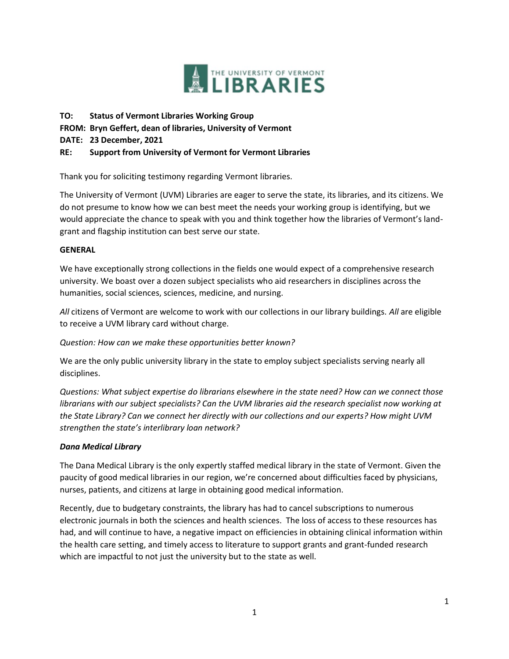

**TO: Status of Vermont Libraries Working Group FROM: Bryn Geffert, dean of libraries, University of Vermont DATE: 23 December, 2021 RE: Support from University of Vermont for Vermont Libraries**

Thank you for soliciting testimony regarding Vermont libraries.

The University of Vermont (UVM) Libraries are eager to serve the state, its libraries, and its citizens. We do not presume to know how we can best meet the needs your working group is identifying, but we would appreciate the chance to speak with you and think together how the libraries of Vermont's landgrant and flagship institution can best serve our state.

#### **GENERAL**

We have exceptionally strong collections in the fields one would expect of a comprehensive research university. We boast over a dozen subject specialists who aid researchers in disciplines across the humanities, social sciences, sciences, medicine, and nursing.

*All* citizens of Vermont are welcome to work with our collections in our library buildings. *All* are eligible to receive a UVM library card without charge.

*Question: How can we make these opportunities better known?*

We are the only public university library in the state to employ subject specialists serving nearly all disciplines.

*Questions: What subject expertise do librarians elsewhere in the state need? How can we connect those librarians with our subject specialists? Can the UVM libraries aid the research specialist now working at the State Library? Can we connect her directly with our collections and our experts? How might UVM strengthen the state's interlibrary loan network?*

### *Dana Medical Library*

The Dana Medical Library is the only expertly staffed medical library in the state of Vermont. Given the paucity of good medical libraries in our region, we're concerned about difficulties faced by physicians, nurses, patients, and citizens at large in obtaining good medical information.

Recently, due to budgetary constraints, the library has had to cancel subscriptions to numerous electronic journals in both the sciences and health sciences. The loss of access to these resources has had, and will continue to have, a negative impact on efficiencies in obtaining clinical information within the health care setting, and timely access to literature to support grants and grant-funded research which are impactful to not just the university but to the state as well.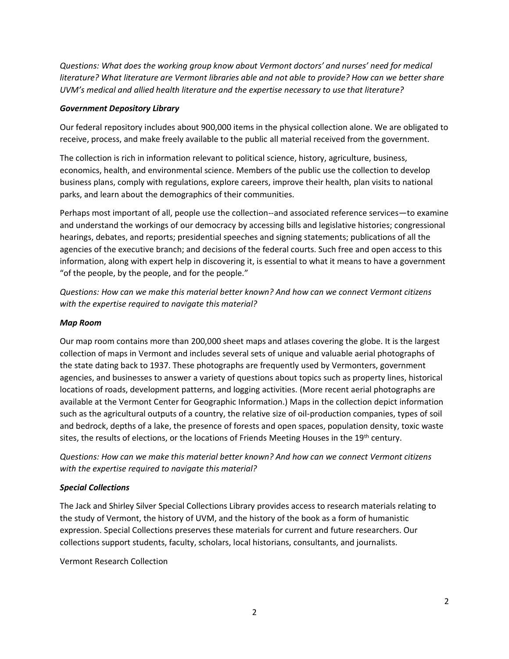*Questions: What does the working group know about Vermont doctors' and nurses' need for medical literature? What literature are Vermont libraries able and not able to provide? How can we better share UVM's medical and allied health literature and the expertise necessary to use that literature?*

### *Government Depository Library*

Our federal repository includes about 900,000 items in the physical collection alone. We are obligated to receive, process, and make freely available to the public all material received from the government.

The collection is rich in information relevant to political science, history, agriculture, business, economics, health, and environmental science. Members of the public use the collection to develop business plans, comply with regulations, explore careers, improve their health, plan visits to national parks, and learn about the demographics of their communities.

Perhaps most important of all, people use the collection--and associated reference services—to examine and understand the workings of our democracy by accessing bills and legislative histories; congressional hearings, debates, and reports; presidential speeches and signing statements; publications of all the agencies of the executive branch; and decisions of the federal courts. Such free and open access to this information, along with expert help in discovering it, is essential to what it means to have a government "of the people, by the people, and for the people."

*Questions: How can we make this material better known? And how can we connect Vermont citizens with the expertise required to navigate this material?* 

### *Map Room*

Our map room contains more than 200,000 sheet maps and atlases covering the globe. It is the largest collection of maps in Vermont and includes several sets of unique and valuable aerial photographs of the state dating back to 1937. These photographs are frequently used by Vermonters, government agencies, and businesses to answer a variety of questions about topics such as property lines, historical locations of roads, development patterns, and logging activities. (More recent aerial photographs are available at the Vermont Center for Geographic Information.) Maps in the collection depict information such as the agricultural outputs of a country, the relative size of oil-production companies, types of soil and bedrock, depths of a lake, the presence of forests and open spaces, population density, toxic waste sites, the results of elections, or the locations of Friends Meeting Houses in the 19<sup>th</sup> century.

*Questions: How can we make this material better known? And how can we connect Vermont citizens with the expertise required to navigate this material?* 

# *Special Collections*

The Jack and Shirley Silver Special Collections Library provides access to research materials relating to the study of Vermont, the history of UVM, and the history of the book as a form of humanistic expression. Special Collections preserves these materials for current and future researchers. Our collections support students, faculty, scholars, local historians, consultants, and journalists.

Vermont Research Collection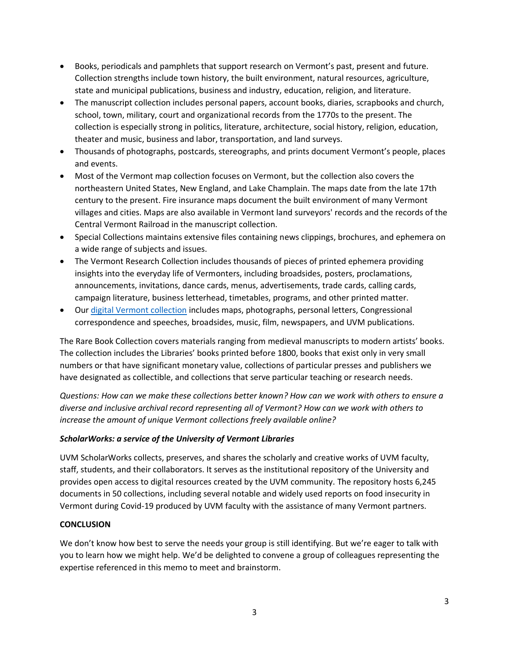- Books, periodicals and pamphlets that support research on Vermont's past, present and future. Collection strengths include town history, the built environment, natural resources, agriculture, state and municipal publications, business and industry, education, religion, and literature.
- The manuscript collection includes personal papers, account books, diaries, scrapbooks and church, school, town, military, court and organizational records from the 1770s to the present. The collection is especially strong in politics, literature, architecture, social history, religion, education, theater and music, business and labor, transportation, and land surveys.
- Thousands of photographs, postcards, stereographs, and prints document Vermont's people, places and events.
- Most of the Vermont map collection focuses on Vermont, but the collection also covers the northeastern United States, New England, and Lake Champlain. The maps date from the late 17th century to the present. Fire insurance maps document the built environment of many Vermont villages and cities. Maps are also available in Vermont land surveyors' records and the records of the Central Vermont Railroad in the manuscript collection.
- Special Collections maintains extensive files containing news clippings, brochures, and ephemera on a wide range of subjects and issues.
- The Vermont Research Collection includes thousands of pieces of printed ephemera providing insights into the everyday life of Vermonters, including broadsides, posters, proclamations, announcements, invitations, dance cards, menus, advertisements, trade cards, calling cards, campaign literature, business letterhead, timetables, programs, and other printed matter.
- Our [digital Vermont collection](https://cdi.uvm.edu/) includes maps, photographs, personal letters, Congressional correspondence and speeches, broadsides, music, film, newspapers, and UVM publications.

The Rare Book Collection covers materials ranging from medieval manuscripts to modern artists' books. The collection includes the Libraries' books printed before 1800, books that exist only in very small numbers or that have significant monetary value, collections of particular presses and publishers we have designated as collectible, and collections that serve particular teaching or research needs.

*Questions: How can we make these collections better known? How can we work with others to ensure a diverse and inclusive archival record representing all of Vermont? How can we work with others to increase the amount of unique Vermont collections freely available online?*

# *ScholarWorks: a service of the University of Vermont Libraries*

UVM ScholarWorks collects, preserves, and shares the scholarly and creative works of UVM faculty, staff, students, and their collaborators. It serves as the institutional repository of the University and provides open access to digital resources created by the UVM community. The repository hosts 6,245 documents in 50 collections, including several notable and widely used reports on food insecurity in Vermont during Covid-19 produced by UVM faculty with the assistance of many Vermont partners.

# **CONCLUSION**

We don't know how best to serve the needs your group is still identifying. But we're eager to talk with you to learn how we might help. We'd be delighted to convene a group of colleagues representing the expertise referenced in this memo to meet and brainstorm.